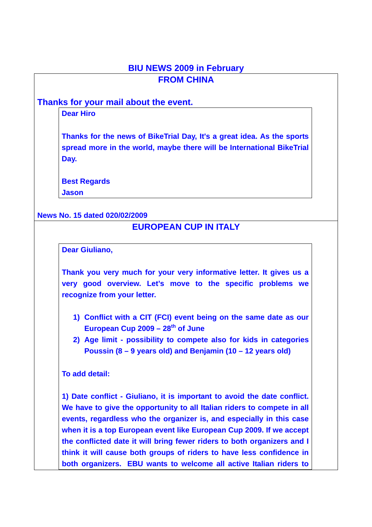### **BIU NEWS 2009 in February FROM CHINA**

### **Thanks for your mail about the event.**

#### **Dear Hiro**

**Thanks for the news of BikeTrial Day, It's a great idea. As the sports spread more in the world, maybe there will be International BikeTrial Day.** 

**Best Regards** 

**Jason**

#### **News No. 15 dated 020/02/2009**

### **EUROPEAN CUP IN ITALY**

**Dear Giuliano,** 

**Thank you very much for your very informative letter. It gives us a very good overview. Let's move to the specific problems we recognize from your letter.** 

- **1) Conflict with a CIT (FCI) event being on the same date as our**  European Cup 2009 – 28<sup>th</sup> of June
- **2) Age limit possibility to compete also for kids in categories Poussin (8 – 9 years old) and Benjamin (10 – 12 years old)**

#### **To add detail:**

**1) Date conflict - Giuliano, it is important to avoid the date conflict. We have to give the opportunity to all Italian riders to compete in all events, regardless who the organizer is, and especially in this case when it is a top European event like European Cup 2009. If we accept the conflicted date it will bring fewer riders to both organizers and I think it will cause both groups of riders to have less confidence in both organizers. EBU wants to welcome all active Italian riders to**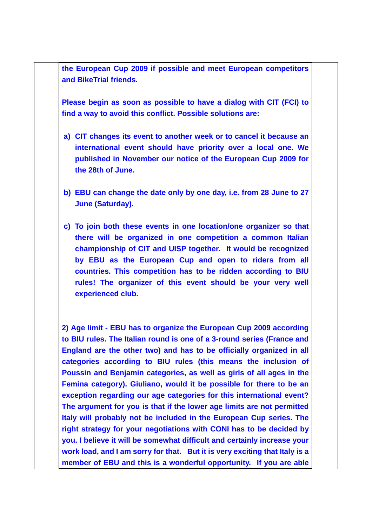**the European Cup 2009 if possible and meet European competitors and BikeTrial friends.** 

**Please begin as soon as possible to have a dialog with CIT (FCI) to find a way to avoid this conflict. Possible solutions are:** 

- **a) CIT changes its event to another week or to cancel it because an international event should have priority over a local one. We published in November our notice of the European Cup 2009 for the 28th of June.**
- **b) EBU can change the date only by one day, i.e. from 28 June to 27 June (Saturday).**
- **c) To join both these events in one location/one organizer so that there will be organized in one competition a common Italian championship of CIT and UISP together. It would be recognized by EBU as the European Cup and open to riders from all countries. This competition has to be ridden according to BIU rules! The organizer of this event should be your very well experienced club.**

**2) Age limit - EBU has to organize the European Cup 2009 according to BIU rules. The Italian round is one of a 3-round series (France and England are the other two) and has to be officially organized in all categories according to BIU rules (this means the inclusion of Poussin and Benjamin categories, as well as girls of all ages in the Femina category). Giuliano, would it be possible for there to be an exception regarding our age categories for this international event? The argument for you is that if the lower age limits are not permitted Italy will probably not be included in the European Cup series. The right strategy for your negotiations with CONI has to be decided by you. I believe it will be somewhat difficult and certainly increase your work load, and I am sorry for that. But it is very exciting that Italy is a member of EBU and this is a wonderful opportunity. If you are able**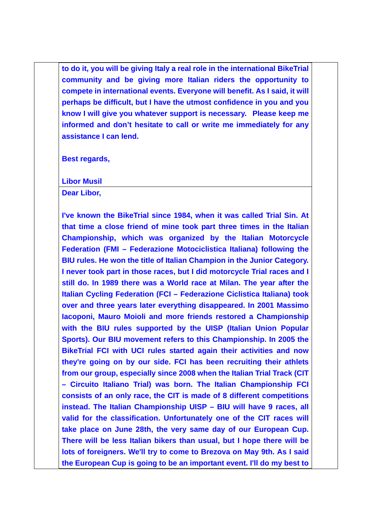**to do it, you will be giving Italy a real role in the international BikeTrial community and be giving more Italian riders the opportunity to compete in international events. Everyone will benefit. As I said, it will perhaps be difficult, but I have the utmost confidence in you and you know I will give you whatever support is necessary. Please keep me informed and don't hesitate to call or write me immediately for any assistance I can lend.** 

**Best regards,** 

**Libor Musil** 

**Dear Libor,** 

**I've known the BikeTrial since 1984, when it was called Trial Sin. At that time a close friend of mine took part three times in the Italian Championship, which was organized by the Italian Motorcycle Federation (FMI – Federazione Motociclistica Italiana) following the BIU rules. He won the title of Italian Champion in the Junior Category. I never took part in those races, but I did motorcycle Trial races and I still do. In 1989 there was a World race at Milan. The year after the Italian Cycling Federation (FCI – Federazione Ciclistica Italiana) took over and three years later everything disappeared. In 2001 Massimo Iacoponi, Mauro Moioli and more friends restored a Championship with the BIU rules supported by the UISP (Italian Union Popular Sports). Our BIU movement refers to this Championship. In 2005 the BikeTrial FCI with UCI rules started again their activities and now they're going on by our side. FCI has been recruiting their athlets from our group, especially since 2008 when the Italian Trial Track (CIT – Circuito Italiano Trial) was born. The Italian Championship FCI consists of an only race, the CIT is made of 8 different competitions instead. The Italian Championship UISP – BIU will have 9 races, all valid for the classification. Unfortunately one of the CIT races will take place on June 28th, the very same day of our European Cup. There will be less Italian bikers than usual, but I hope there will be lots of foreigners. We'll try to come to Brezova on May 9th. As I said the European Cup is going to be an important event. I'll do my best to**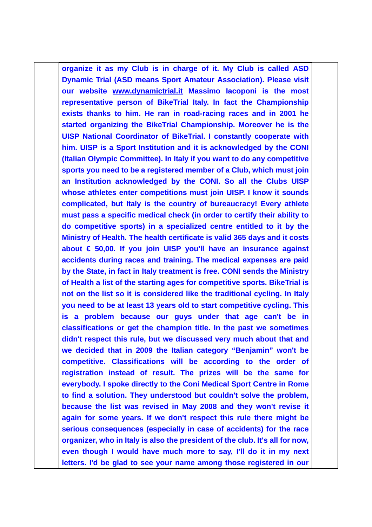**organize it as my Club is in charge of it. My Club is called ASD Dynamic Trial (ASD means Sport Amateur Association). Please visit our website www.dynamictrial.it Massimo Iacoponi is the most representative person of BikeTrial Italy. In fact the Championship exists thanks to him. He ran in road-racing races and in 2001 he started organizing the BikeTrial Championship. Moreover he is the UISP National Coordinator of BikeTrial. I constantly cooperate with him. UISP is a Sport Institution and it is acknowledged by the CONI (Italian Olympic Committee). In Italy if you want to do any competitive sports you need to be a registered member of a Club, which must join an Institution acknowledged by the CONI. So all the Clubs UISP whose athletes enter competitions must join UISP. I know it sounds complicated, but Italy is the country of bureaucracy! Every athlete must pass a specific medical check (in order to certify their ability to do competitive sports) in a specialized centre entitled to it by the Ministry of Health. The health certificate is valid 365 days and it costs about € 50,00. If you join UISP you'll have an insurance against accidents during races and training. The medical expenses are paid by the State, in fact in Italy treatment is free. CONI sends the Ministry of Health a list of the starting ages for competitive sports. BikeTrial is not on the list so it is considered like the traditional cycling. In Italy you need to be at least 13 years old to start competitive cycling. This is a problem because our guys under that age can't be in classifications or get the champion title. In the past we sometimes didn't respect this rule, but we discussed very much about that and we decided that in 2009 the Italian category "Benjamin" won't be competitive. Classifications will be according to the order of registration instead of result. The prizes will be the same for everybody. I spoke directly to the Coni Medical Sport Centre in Rome to find a solution. They understood but couldn't solve the problem, because the list was revised in May 2008 and they won't revise it again for some years. If we don't respect this rule there might be serious consequences (especially in case of accidents) for the race organizer, who in Italy is also the president of the club. It's all for now, even though I would have much more to say, I'll do it in my next letters. I'd be glad to see your name among those registered in our**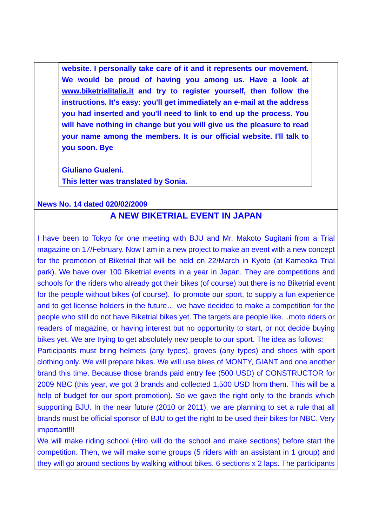**website. I personally take care of it and it represents our movement. We would be proud of having you among us. Have a look at www.biketrialitalia.it and try to register yourself, then follow the instructions. It's easy: you'll get immediately an e-mail at the address you had inserted and you'll need to link to end up the process. You will have nothing in change but you will give us the pleasure to read your name among the members. It is our official website. I'll talk to you soon. Bye** 

**Giuliano Gualeni. This letter was translated by Sonia.** 

### **News No. 14 dated 020/02/2009**

### **A NEW BIKETRIAL EVENT IN JAPAN**

I have been to Tokyo for one meeting with BJU and Mr. Makoto Sugitani from a Trial magazine on 17/February. Now I am in a new project to make an event with a new concept for the promotion of Biketrial that will be held on 22/March in Kyoto (at Kameoka Trial park). We have over 100 Biketrial events in a year in Japan. They are competitions and schools for the riders who already got their bikes (of course) but there is no Biketrial event for the people without bikes (of course). To promote our sport, to supply a fun experience and to get license holders in the future… we have decided to make a competition for the people who still do not have Biketrial bikes yet. The targets are people like…moto riders or readers of magazine, or having interest but no opportunity to start, or not decide buying bikes yet. We are trying to get absolutely new people to our sport. The idea as follows:

Participants must bring helmets (any types), groves (any types) and shoes with sport clothing only. We will prepare bikes. We will use bikes of MONTY, GIANT and one another brand this time. Because those brands paid entry fee (500 USD) of CONSTRUCTOR for 2009 NBC (this year, we got 3 brands and collected 1,500 USD from them. This will be a help of budget for our sport promotion). So we gave the right only to the brands which supporting BJU. In the near future (2010 or 2011), we are planning to set a rule that all brands must be official sponsor of BJU to get the right to be used their bikes for NBC. Very important!!!

We will make riding school (Hiro will do the school and make sections) before start the competition. Then, we will make some groups (5 riders with an assistant in 1 group) and they will go around sections by walking without bikes. 6 sections x 2 laps. The participants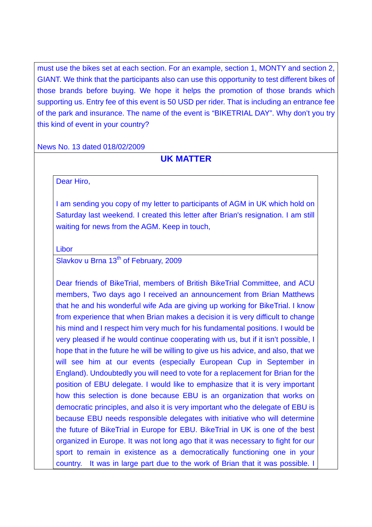must use the bikes set at each section. For an example, section 1, MONTY and section 2, GIANT. We think that the participants also can use this opportunity to test different bikes of those brands before buying. We hope it helps the promotion of those brands which supporting us. Entry fee of this event is 50 USD per rider. That is including an entrance fee of the park and insurance. The name of the event is "BIKETRIAL DAY". Why don't you try this kind of event in your country?

News No. 13 dated 018/02/2009

### **UK MATTER**

Dear Hiro,

I am sending you copy of my letter to participants of AGM in UK which hold on Saturday last weekend. I created this letter after Brian's resignation. I am still waiting for news from the AGM. Keep in touch,

Libor

Slavkov u Brna 13<sup>th</sup> of February, 2009

Dear friends of BikeTrial, members of British BikeTrial Committee, and ACU members, Two days ago I received an announcement from Brian Matthews that he and his wonderful wife Ada are giving up working for BikeTrial. I know from experience that when Brian makes a decision it is very difficult to change his mind and I respect him very much for his fundamental positions. I would be very pleased if he would continue cooperating with us, but if it isn't possible, I hope that in the future he will be willing to give us his advice, and also, that we will see him at our events (especially European Cup in September in England). Undoubtedly you will need to vote for a replacement for Brian for the position of EBU delegate. I would like to emphasize that it is very important how this selection is done because EBU is an organization that works on democratic principles, and also it is very important who the delegate of EBU is because EBU needs responsible delegates with initiative who will determine the future of BikeTrial in Europe for EBU. BikeTrial in UK is one of the best organized in Europe. It was not long ago that it was necessary to fight for our sport to remain in existence as a democratically functioning one in your country. It was in large part due to the work of Brian that it was possible. I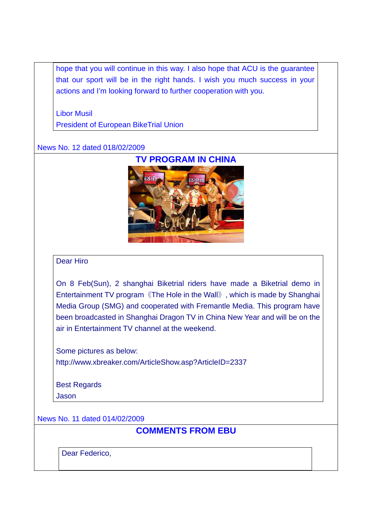hope that you will continue in this way. I also hope that ACU is the guarantee that our sport will be in the right hands. I wish you much success in your actions and I'm looking forward to further cooperation with you.

Libor Musil President of European BikeTrial Union

#### News No. 12 dated 018/02/2009



#### Dear Hiro

On 8 Feb(Sun), 2 shanghai Biketrial riders have made a Biketrial demo in Entertainment TV program《The Hole in the Wall》, which is made by Shanghai Media Group (SMG) and cooperated with Fremantle Media. This program have been broadcasted in Shanghai Dragon TV in China New Year and will be on the air in Entertainment TV channel at the weekend.

Some pictures as below: http://www.xbreaker.com/ArticleShow.asp?ArticleID=2337

Best Regards **Jason** 

#### News No. 11 dated 014/02/2009

**COMMENTS FROM EBU** 

Dear Federico,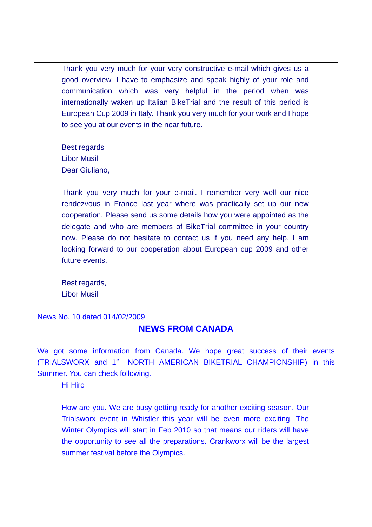Thank you very much for your very constructive e-mail which gives us a good overview. I have to emphasize and speak highly of your role and communication which was very helpful in the period when was internationally waken up Italian BikeTrial and the result of this period is European Cup 2009 in Italy. Thank you very much for your work and I hope to see you at our events in the near future.

Best regards

Libor Musil

Dear Giuliano,

Thank you very much for your e-mail. I remember very well our nice rendezvous in France last year where was practically set up our new cooperation. Please send us some details how you were appointed as the delegate and who are members of BikeTrial committee in your country now. Please do not hesitate to contact us if you need any help. I am looking forward to our cooperation about European cup 2009 and other future events.

Best regards, Libor Musil

News No. 10 dated 014/02/2009

## **NEWS FROM CANADA**

We got some information from Canada. We hope great success of their events (TRIALSWORX and 1<sup>ST</sup> NORTH AMERICAN BIKETRIAL CHAMPIONSHIP) in this Summer. You can check following.

Hi Hiro

How are you. We are busy getting ready for another exciting season. Our Trialsworx event in Whistler this year will be even more exciting. The Winter Olympics will start in Feb 2010 so that means our riders will have the opportunity to see all the preparations. Crankworx will be the largest summer festival before the Olympics.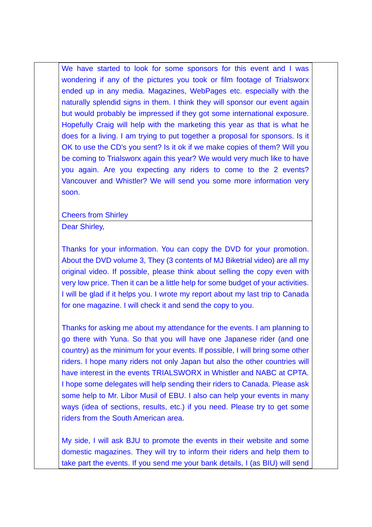We have started to look for some sponsors for this event and I was wondering if any of the pictures you took or film footage of Trialsworx ended up in any media. Magazines, WebPages etc. especially with the naturally splendid signs in them. I think they will sponsor our event again but would probably be impressed if they got some international exposure. Hopefully Craig will help with the marketing this year as that is what he does for a living. I am trying to put together a proposal for sponsors. Is it OK to use the CD's you sent? Is it ok if we make copies of them? Will you be coming to Trialsworx again this year? We would very much like to have you again. Are you expecting any riders to come to the 2 events? Vancouver and Whistler? We will send you some more information very soon.

Cheers from Shirley

Dear Shirley,

Thanks for your information. You can copy the DVD for your promotion. About the DVD volume 3, They (3 contents of MJ Biketrial video) are all my original video. If possible, please think about selling the copy even with very low price. Then it can be a little help for some budget of your activities. I will be glad if it helps you. I wrote my report about my last trip to Canada for one magazine. I will check it and send the copy to you.

Thanks for asking me about my attendance for the events. I am planning to go there with Yuna. So that you will have one Japanese rider (and one country) as the minimum for your events. If possible, I will bring some other riders. I hope many riders not only Japan but also the other countries will have interest in the events TRIALSWORX in Whistler and NABC at CPTA. I hope some delegates will help sending their riders to Canada. Please ask some help to Mr. Libor Musil of EBU. I also can help your events in many ways (idea of sections, results, etc.) if you need. Please try to get some riders from the South American area.

My side, I will ask BJU to promote the events in their website and some domestic magazines. They will try to inform their riders and help them to take part the events. If you send me your bank details, I (as BIU) will send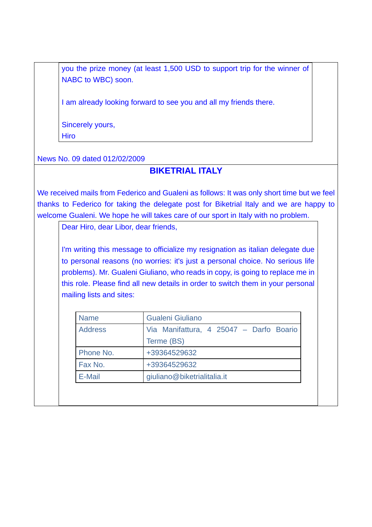you the prize money (at least 1,500 USD to support trip for the winner of NABC to WBC) soon.

I am already looking forward to see you and all my friends there.

Sincerely yours, **Hiro** 

News No. 09 dated 012/02/2009

### **BIKETRIAL ITALY**

We received mails from Federico and Gualeni as follows: It was only short time but we feel thanks to Federico for taking the delegate post for Biketrial Italy and we are happy to welcome Gualeni. We hope he will takes care of our sport in Italy with no problem.

Dear Hiro, dear Libor, dear friends,

I'm writing this message to officialize my resignation as italian delegate due to personal reasons (no worries: it's just a personal choice. No serious life problems). Mr. Gualeni Giuliano, who reads in copy, is going to replace me in this role. Please find all new details in order to switch them in your personal mailing lists and sites:

| <b>Name</b>    | <b>Gualeni Giuliano</b>                 |
|----------------|-----------------------------------------|
| <b>Address</b> | Via Manifattura, 4 25047 - Darfo Boario |
|                | Terme (BS)                              |
| Phone No.      | +39364529632                            |
| Fax No.        | +39364529632                            |
| E-Mail         | giuliano@biketrialitalia.it             |
|                |                                         |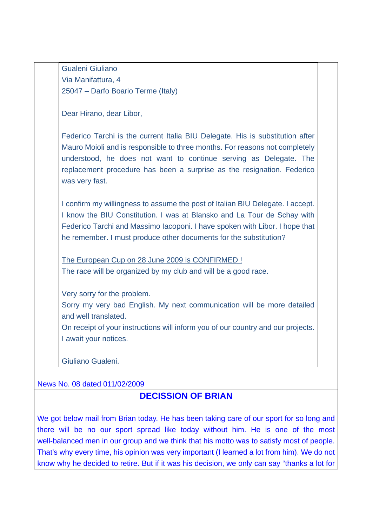Gualeni Giuliano Via Manifattura, 4 25047 – Darfo Boario Terme (Italy)

Dear Hirano, dear Libor,

Federico Tarchi is the current Italia BIU Delegate. His is substitution after Mauro Moioli and is responsible to three months. For reasons not completely understood, he does not want to continue serving as Delegate. The replacement procedure has been a surprise as the resignation. Federico was very fast.

I confirm my willingness to assume the post of Italian BIU Delegate. I accept. I know the BIU Constitution. I was at Blansko and La Tour de Schay with Federico Tarchi and Massimo Iacoponi. I have spoken with Libor. I hope that he remember. I must produce other documents for the substitution?

The European Cup on 28 June 2009 is CONFIRMED ! The race will be organized by my club and will be a good race.

Very sorry for the problem.

Sorry my very bad English. My next communication will be more detailed and well translated.

On receipt of your instructions will inform you of our country and our projects. I await your notices.

Giuliano Gualeni.

News No. 08 dated 011/02/2009

### **DECISSION OF BRIAN**

We got below mail from Brian today. He has been taking care of our sport for so long and there will be no our sport spread like today without him. He is one of the most well-balanced men in our group and we think that his motto was to satisfy most of people. That's why every time, his opinion was very important (I learned a lot from him). We do not know why he decided to retire. But if it was his decision, we only can say "thanks a lot for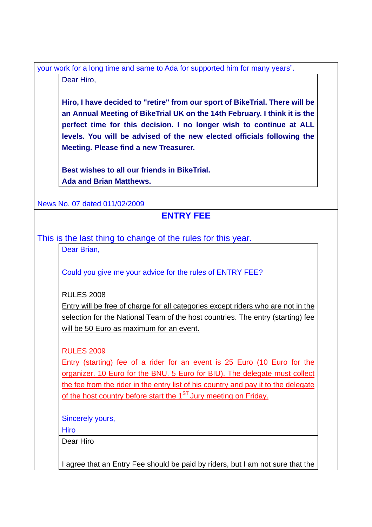your work for a long time and same to Ada for supported him for many years". Dear Hiro,

**Hiro, I have decided to "retire" from our sport of BikeTrial. There will be an Annual Meeting of BikeTrial UK on the 14th February. I think it is the perfect time for this decision. I no longer wish to continue at ALL levels. You will be advised of the new elected officials following the Meeting. Please find a new Treasurer.**

**Best wishes to all our friends in BikeTrial. Ada and Brian Matthews.**

News No. 07 dated 011/02/2009

## **ENTRY FEE**

This is the last thing to change of the rules for this year.

Dear Brian,

Could you give me your advice for the rules of ENTRY FEE?

RULES 2008

Entry will be free of charge for all categories except riders who are not in the selection for the National Team of the host countries. The entry (starting) fee will be 50 Euro as maximum for an event.

RULES 2009

Entry (starting) fee of a rider for an event is 25 Euro (10 Euro for the organizer. 10 Euro for the BNU. 5 Euro for BIU). The delegate must collect the fee from the rider in the entry list of his country and pay it to the delegate of the host country before start the  $1<sup>ST</sup>$  Jury meeting on Friday.

Sincerely yours,

Hiro

Dear Hiro

I agree that an Entry Fee should be paid by riders, but I am not sure that the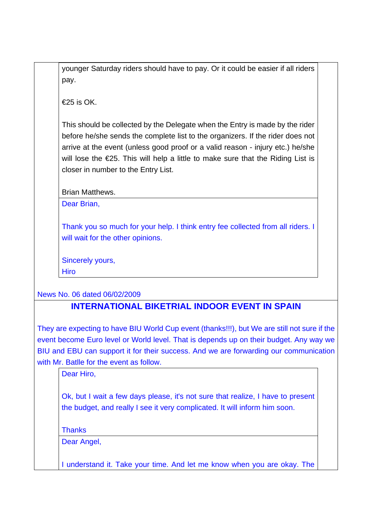younger Saturday riders should have to pay. Or it could be easier if all riders pay.

 $€25$  is OK

This should be collected by the Delegate when the Entry is made by the rider before he/she sends the complete list to the organizers. If the rider does not arrive at the event (unless good proof or a valid reason - injury etc.) he/she will lose the €25. This will help a little to make sure that the Riding List is closer in number to the Entry List.

Brian Matthews.

Dear Brian,

Thank you so much for your help. I think entry fee collected from all riders. I will wait for the other opinions.

Sincerely yours, **Hiro** 

News No. 06 dated 06/02/2009

## **INTERNATIONAL BIKETRIAL INDOOR EVENT IN SPAIN**

They are expecting to have BIU World Cup event (thanks!!!), but We are still not sure if the event become Euro level or World level. That is depends up on their budget. Any way we BIU and EBU can support it for their success. And we are forwarding our communication with Mr. Batlle for the event as follow.

Dear Hiro,

Ok, but I wait a few days please, it's not sure that realize, I have to present the budget, and really I see it very complicated. It will inform him soon.

**Thanks** 

Dear Angel,

I understand it. Take your time. And let me know when you are okay. The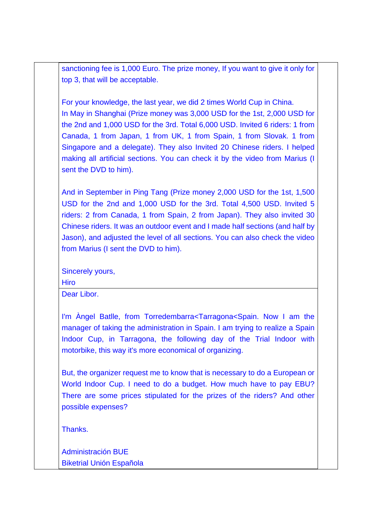sanctioning fee is 1,000 Euro. The prize money, If you want to give it only for top 3, that will be acceptable.

For your knowledge, the last year, we did 2 times World Cup in China. In May in Shanghai (Prize money was 3,000 USD for the 1st, 2,000 USD for the 2nd and 1,000 USD for the 3rd. Total 6,000 USD. Invited 6 riders: 1 from Canada, 1 from Japan, 1 from UK, 1 from Spain, 1 from Slovak. 1 from Singapore and a delegate). They also Invited 20 Chinese riders. I helped making all artificial sections. You can check it by the video from Marius (I sent the DVD to him).

And in September in Ping Tang (Prize money 2,000 USD for the 1st, 1,500 USD for the 2nd and 1,000 USD for the 3rd. Total 4,500 USD. Invited 5 riders: 2 from Canada, 1 from Spain, 2 from Japan). They also invited 30 Chinese riders. It was an outdoor event and I made half sections (and half by Jason), and adjusted the level of all sections. You can also check the video from Marius (I sent the DVD to him).

Sincerely yours, Hiro

Dear Libor.

I'm Àngel Batlle, from Torredembarra<Tarragona<Spain. Now I am the manager of taking the administration in Spain. I am trying to realize a Spain Indoor Cup, in Tarragona, the following day of the Trial Indoor with motorbike, this way it's more economical of organizing.

But, the organizer request me to know that is necessary to do a European or World Indoor Cup. I need to do a budget. How much have to pay EBU? There are some prices stipulated for the prizes of the riders? And other possible expenses?

**Thanks** 

Administración BUE Biketrial Unión Española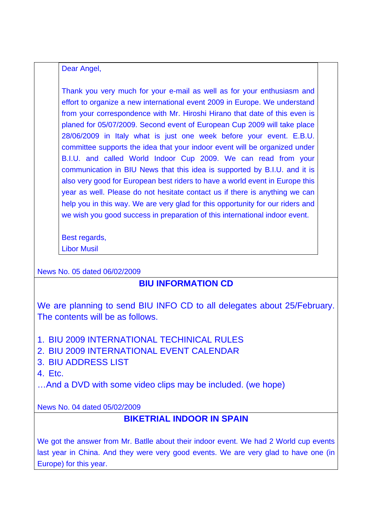#### Dear Angel,

Thank you very much for your e-mail as well as for your enthusiasm and effort to organize a new international event 2009 in Europe. We understand from your correspondence with Mr. Hiroshi Hirano that date of this even is planed for 05/07/2009. Second event of European Cup 2009 will take place 28/06/2009 in Italy what is just one week before your event. E.B.U. committee supports the idea that your indoor event will be organized under B.I.U. and called World Indoor Cup 2009. We can read from your communication in BIU News that this idea is supported by B.I.U. and it is also very good for European best riders to have a world event in Europe this year as well. Please do not hesitate contact us if there is anything we can help you in this way. We are very glad for this opportunity for our riders and we wish you good success in preparation of this international indoor event.

Best regards,

Libor Musil

News No. 05 dated 06/02/2009

## **BIU INFORMATION CD**

We are planning to send BIU INFO CD to all delegates about 25/February. The contents will be as follows.

- 1. BIU 2009 INTERNATIONAL TECHINICAL RULES
- 2. BIU 2009 INTERNATIONAL EVENT CALENDAR
- 3. BIU ADDRESS LIST

4. Etc.

…And a DVD with some video clips may be included. (we hope)

News No. 04 dated 05/02/2009

## **BIKETRIAL INDOOR IN SPAIN**

We got the answer from Mr. Batlle about their indoor event. We had 2 World cup events last year in China. And they were very good events. We are very glad to have one (in Europe) for this year.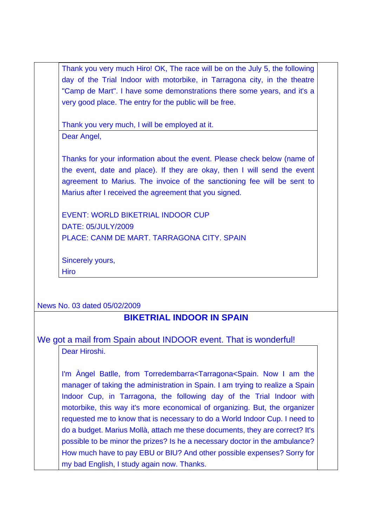Thank you very much Hiro! OK, The race will be on the July 5, the following day of the Trial Indoor with motorbike, in Tarragona city, in the theatre "Camp de Mart". I have some demonstrations there some years, and it's a very good place. The entry for the public will be free.

Thank you very much, I will be employed at it.

Dear Angel,

Thanks for your information about the event. Please check below (name of the event, date and place). If they are okay, then I will send the event agreement to Marius. The invoice of the sanctioning fee will be sent to Marius after I received the agreement that you signed.

EVENT: WORLD BIKETRIAL INDOOR CUP DATE: 05/JULY/2009 PLACE: CANM DE MART. TARRAGONA CITY. SPAIN

Sincerely yours, Hiro

News No. 03 dated 05/02/2009

# **BIKETRIAL INDOOR IN SPAIN**

## We got a mail from Spain about INDOOR event. That is wonderful! Dear Hiroshi.

I'm Àngel Batlle, from Torredembarra<Tarragona<Spain. Now I am the manager of taking the administration in Spain. I am trying to realize a Spain Indoor Cup, in Tarragona, the following day of the Trial Indoor with motorbike, this way it's more economical of organizing. But, the organizer requested me to know that is necessary to do a World Indoor Cup. I need to do a budget. Marius Mollà, attach me these documents, they are correct? It's possible to be minor the prizes? Is he a necessary doctor in the ambulance? How much have to pay EBU or BIU? And other possible expenses? Sorry for my bad English, I study again now. Thanks.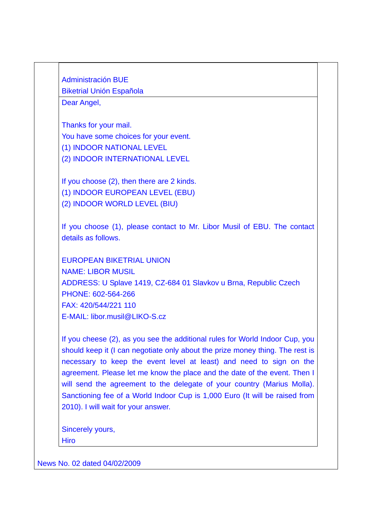Administración BUE Biketrial Unión Española

Dear Angel,

Thanks for your mail. You have some choices for your event. (1) INDOOR NATIONAL LEVEL (2) INDOOR INTERNATIONAL LEVEL

If you choose (2), then there are 2 kinds. (1) INDOOR EUROPEAN LEVEL (EBU) (2) INDOOR WORLD LEVEL (BIU)

If you choose (1), please contact to Mr. Libor Musil of EBU. The contact details as follows.

EUROPEAN BIKETRIAL UNION NAME: LIBOR MUSIL ADDRESS: U Splave 1419, CZ-684 01 Slavkov u Brna, Republic Czech PHONE: 602-564-266 FAX: 420/544/221 110 E-MAIL: libor.musil@LIKO-S.cz

If you cheese (2), as you see the additional rules for World Indoor Cup, you should keep it (I can negotiate only about the prize money thing. The rest is necessary to keep the event level at least) and need to sign on the agreement. Please let me know the place and the date of the event. Then I will send the agreement to the delegate of your country (Marius Molla). Sanctioning fee of a World Indoor Cup is 1,000 Euro (It will be raised from 2010). I will wait for your answer.

Sincerely yours, **Hiro** 

News No. 02 dated 04/02/2009